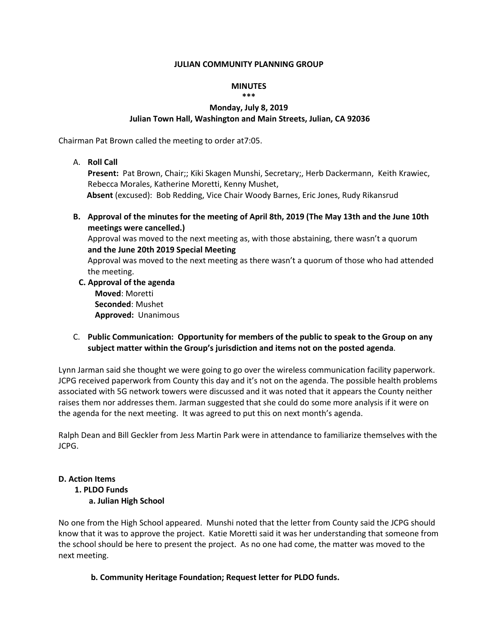#### **JULIAN COMMUNITY PLANNING GROUP**

#### **MINUTES \*\*\***

# **Monday, July 8, 2019 Julian Town Hall, Washington and Main Streets, Julian, CA 92036**

Chairman Pat Brown called the meeting to order at7:05.

A. **Roll Call**

**Present:** Pat Brown, Chair;; Kiki Skagen Munshi, Secretary;, Herb Dackermann, Keith Krawiec, Rebecca Morales, Katherine Moretti, Kenny Mushet,

**Absent** (excused): Bob Redding, Vice Chair Woody Barnes, Eric Jones, Rudy Rikansrud

**B. Approval of the minutes for the meeting of April 8th, 2019 (The May 13th and the June 10th meetings were cancelled.)** 

Approval was moved to the next meeting as, with those abstaining, there wasn't a quorum **and the June 20th 2019 Special Meeting** 

Approval was moved to the next meeting as there wasn't a quorum of those who had attended the meeting.

- **C. Approval of the agenda Moved**: Moretti **Seconded**: Mushet **Approved:** Unanimous
- C. **Public Communication: Opportunity for members of the public to speak to the Group on any subject matter within the Group's jurisdiction and items not on the posted agenda**.

Lynn Jarman said she thought we were going to go over the wireless communication facility paperwork. JCPG received paperwork from County this day and it's not on the agenda. The possible health problems associated with 5G network towers were discussed and it was noted that it appears the County neither raises them nor addresses them. Jarman suggested that she could do some more analysis if it were on the agenda for the next meeting. It was agreed to put this on next month's agenda.

Ralph Dean and Bill Geckler from Jess Martin Park were in attendance to familiarize themselves with the JCPG.

# **D. Action Items**

# **1. PLDO Funds**

 **a. Julian High School** 

No one from the High School appeared. Munshi noted that the letter from County said the JCPG should know that it was to approve the project. Katie Moretti said it was her understanding that someone from the school should be here to present the project. As no one had come, the matter was moved to the next meeting.

# **b. Community Heritage Foundation; Request letter for PLDO funds.**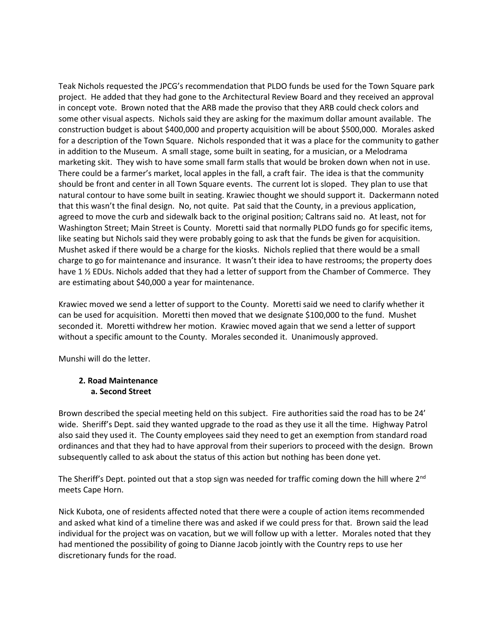Teak Nichols requested the JPCG's recommendation that PLDO funds be used for the Town Square park project. He added that they had gone to the Architectural Review Board and they received an approval in concept vote. Brown noted that the ARB made the proviso that they ARB could check colors and some other visual aspects. Nichols said they are asking for the maximum dollar amount available. The construction budget is about \$400,000 and property acquisition will be about \$500,000. Morales asked for a description of the Town Square. Nichols responded that it was a place for the community to gather in addition to the Museum. A small stage, some built in seating, for a musician, or a Melodrama marketing skit. They wish to have some small farm stalls that would be broken down when not in use. There could be a farmer's market, local apples in the fall, a craft fair. The idea is that the community should be front and center in all Town Square events. The current lot is sloped. They plan to use that natural contour to have some built in seating. Krawiec thought we should support it. Dackermann noted that this wasn't the final design. No, not quite. Pat said that the County, in a previous application, agreed to move the curb and sidewalk back to the original position; Caltrans said no. At least, not for Washington Street; Main Street is County. Moretti said that normally PLDO funds go for specific items, like seating but Nichols said they were probably going to ask that the funds be given for acquisition. Mushet asked if there would be a charge for the kiosks. Nichols replied that there would be a small charge to go for maintenance and insurance. It wasn't their idea to have restrooms; the property does have 1 % EDUs. Nichols added that they had a letter of support from the Chamber of Commerce. They are estimating about \$40,000 a year for maintenance.

Krawiec moved we send a letter of support to the County. Moretti said we need to clarify whether it can be used for acquisition. Moretti then moved that we designate \$100,000 to the fund. Mushet seconded it. Moretti withdrew her motion. Krawiec moved again that we send a letter of support without a specific amount to the County. Morales seconded it. Unanimously approved.

Munshi will do the letter.

#### **2. Road Maintenance a. Second Street**

Brown described the special meeting held on this subject. Fire authorities said the road has to be 24' wide. Sheriff's Dept. said they wanted upgrade to the road as they use it all the time. Highway Patrol also said they used it. The County employees said they need to get an exemption from standard road ordinances and that they had to have approval from their superiors to proceed with the design. Brown subsequently called to ask about the status of this action but nothing has been done yet.

The Sheriff's Dept. pointed out that a stop sign was needed for traffic coming down the hill where  $2^{nd}$ meets Cape Horn.

Nick Kubota, one of residents affected noted that there were a couple of action items recommended and asked what kind of a timeline there was and asked if we could press for that. Brown said the lead individual for the project was on vacation, but we will follow up with a letter. Morales noted that they had mentioned the possibility of going to Dianne Jacob jointly with the Country reps to use her discretionary funds for the road.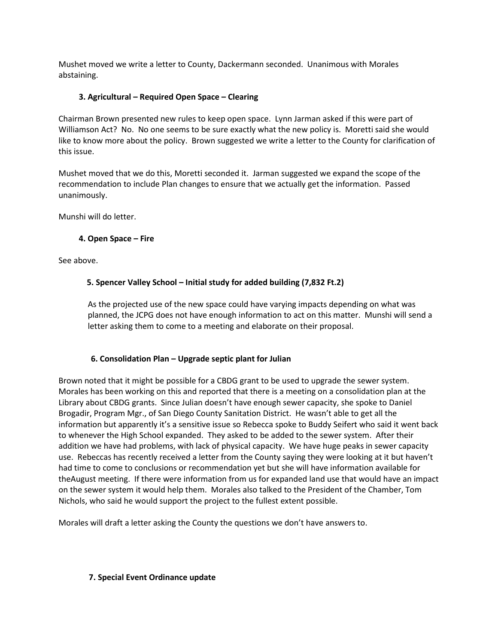Mushet moved we write a letter to County, Dackermann seconded. Unanimous with Morales abstaining.

# **3. Agricultural – Required Open Space – Clearing**

Chairman Brown presented new rules to keep open space. Lynn Jarman asked if this were part of Williamson Act? No. No one seems to be sure exactly what the new policy is. Moretti said she would like to know more about the policy. Brown suggested we write a letter to the County for clarification of this issue.

Mushet moved that we do this, Moretti seconded it. Jarman suggested we expand the scope of the recommendation to include Plan changes to ensure that we actually get the information. Passed unanimously.

Munshi will do letter.

# **4. Open Space – Fire**

See above.

# **5. Spencer Valley School – Initial study for added building (7,832 Ft.2)**

As the projected use of the new space could have varying impacts depending on what was planned, the JCPG does not have enough information to act on this matter. Munshi will send a letter asking them to come to a meeting and elaborate on their proposal.

# **6. Consolidation Plan – Upgrade septic plant for Julian**

Brown noted that it might be possible for a CBDG grant to be used to upgrade the sewer system. Morales has been working on this and reported that there is a meeting on a consolidation plan at the Library about CBDG grants. Since Julian doesn't have enough sewer capacity, she spoke to Daniel Brogadir, Program Mgr., of San Diego County Sanitation District. He wasn't able to get all the information but apparently it's a sensitive issue so Rebecca spoke to Buddy Seifert who said it went back to whenever the High School expanded. They asked to be added to the sewer system. After their addition we have had problems, with lack of physical capacity. We have huge peaks in sewer capacity use. Rebeccas has recently received a letter from the County saying they were looking at it but haven't had time to come to conclusions or recommendation yet but she will have information available for theAugust meeting. If there were information from us for expanded land use that would have an impact on the sewer system it would help them. Morales also talked to the President of the Chamber, Tom Nichols, who said he would support the project to the fullest extent possible.

Morales will draft a letter asking the County the questions we don't have answers to.

#### **7. Special Event Ordinance update**